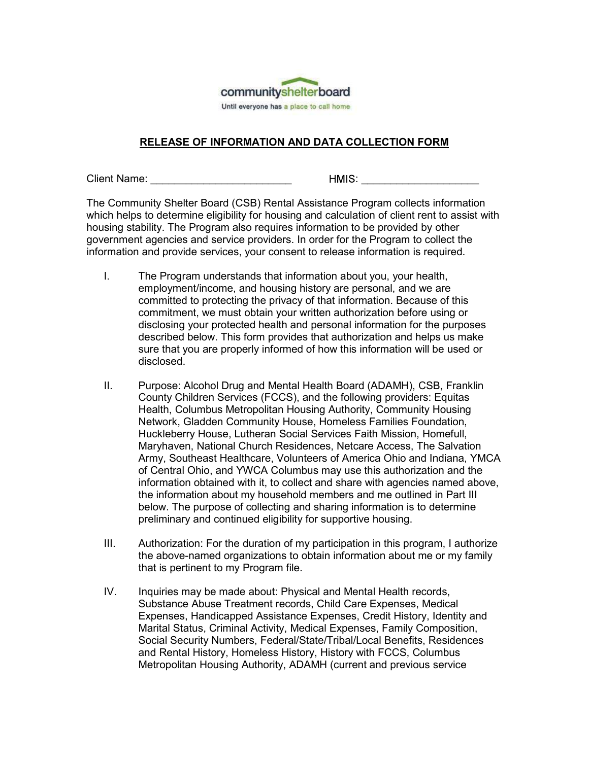

Client Name: \_\_\_\_\_\_\_\_\_\_\_\_\_\_\_\_\_\_\_\_\_\_\_\_ : \_\_\_\_\_\_\_\_\_\_\_\_\_\_\_\_\_\_\_\_ The Community Shelter Board (CSB) Rental Assistance Program collects information Community shelter board<br>
Until sveryons has a place to call home<br>
RELEASE OF INFORMATION AND DATA COLLECTION FORM<br>
Client Name:<br>
The Community Shelter Board (CSB) Rental Assistance Program collects information<br>
which helps **COMBUT COMBUT CONTROLLY CONTROLLY CONTROLLY CONTROLLY CONTROLLY CONTROLLY CONTROLLY CONTROLLY CONTROLLY CONTROLLY CONTROLLY CONTROLLY CONTROLLY CONTROLLY CONTROLLY CONTROLLY CONTROLLY CONTROLLY CONTROLLY CONTROLLY CONTROL** government agencies and service providers. In order for the Program to collect the information and provide services, your consent to release information is required.

- **I. The Program understands that information about your health information**<br>
I. The Program understand (CSB) Rental Assistance Program collects information<br>
th Name: **Example 1998** (CSB) Rental Assistance Program collects employment/income, and housing history are personal, and we are committed to protecting the privacy of that information. Because of this commitment, we must obtain your written authorization before using or disclosing your protected health and personal information for the purposes described below. This form provides that authorization and helps us make sure that you are properly informed of how this information will be used or disclosed. **IRELEASE OF INFORMATION AND DATA COLLECTION FORM**<br>
In Name:<br>
Community Shelter Board (CSB) Rental Assistance Program collects information<br>
Chempin is to determine eligibility for housing and calculation of client rent to
- County Children Services (FCCS), and the following providers: Equitas Health, Columbus Metropolitan Housing Authority, Community Housing Network, Gladden Community House, Homeless Families Foundation, Huckleberry House, Lutheran Social Services Faith Mission, Homefull, Maryhaven, National Church Residences, Netcare Access, The Salvation sto determine eligibility for housing and calculation of client rent to assist with<br>bilitily. The Program also requires information to be provided by other<br>tagencies and service providers. In order for the Program to colle ibility. The Program also requires information to be provided by other and provide services, your consert to release information is required.<br>The Program understands that information about you, your health,<br>The Program und information obtained with it, to collect and share with agencies named above, the information about my household members and me outlined in Part III The Program understands that information about you, your health,<br>employment/income, and housing history are personal, and we are<br>committed to protecting the privacy of that information. Because of this<br>committent, we must preliminary and continued eligibility for supportive housing. committed to protecting the privacy of that information. Because of this committent, we must obtain your witten authorization before using or disclosing your protected health and personal information for the purposes descr disclosing your protected health and personal information for the purposes<br>described below. This form provides that authorization and helps us make<br>sure that you are properly informed of how this information will be used o sure that you are properly informed of how this information will be used or<br>disclosed.<br>II. Purpose: Alcohol Drug and Mental Health Board (ADAMH), CSB, Franklin<br>County Children Services (FCCS), and the following providers:
- the above-named organizations to obtain information about me or my family
- Substance Abuse Treatment records, Child Care Expenses, Medical Expenses, Handicapped Assistance Expenses, Credit History, Identity and Marital Status, Criminal Activity, Medical Expenses, Family Composition, Social Security Numbers, Federal/State/Tribal/Local Benefits, Residences and Rental History, Homeless History, History with FCCS, Columbus Metropolitan Housing Authority, ADAMH (current and previous service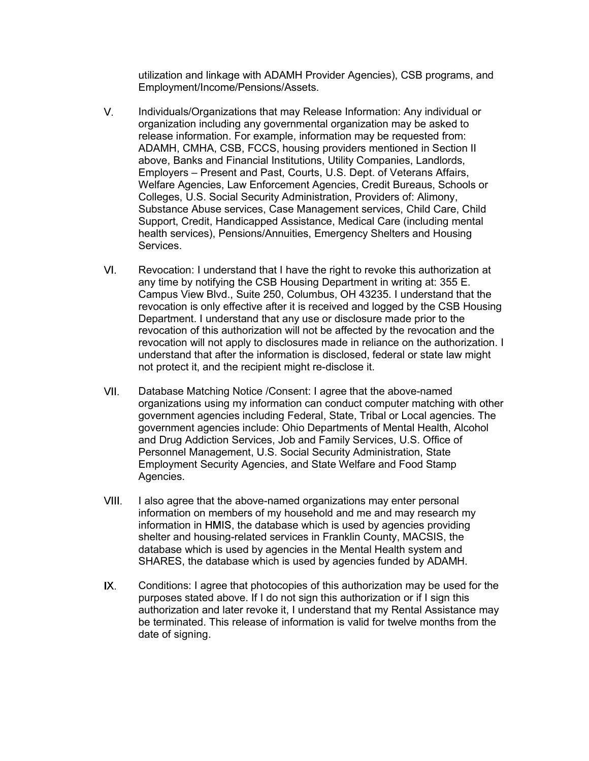utilization and linkage with ADAMH Provider Agencies), CSB programs, and Employment/Income/Pensions/Assets.

- utilization and linkage with ADAMH Provider Agencies), CSB programs, and<br>Employment/Income/Pensions/Assets.<br>Individuals/Organizations that may Release Information: Any individual or<br>organization including any governmental utilization and linkage with ADAMH Provider Agencies), CSB programs, and<br>Employment/Income/Pensions/Assets.<br>Individuals/Organizations that may Release Information: Any individual or<br>organization including any governmental utilization and linkage with ADAMH Provider Agencies), CSB programs, and<br>Employment/Income/Pensions/Assets.<br>Individuals/Organizations that may Release Information: Any individual or<br>organization including any governmental utilization and linkage with ADAMH Provider Agencies), CSB programs, and<br>Employment/Income/Pensions/Assets.<br>Individuals/Organizations that may Release Information: Any individual or<br>organization including any governmental utilization and linkage with ADAMH Provider Agencies), CSB programs, and<br>Employment/Income/Pensions/Assets.<br>Individuals/Organizations that may Release Information: Any individual or<br>organization including any governmental utilization and linkage with ADAMH Provider Agencies), CSB programs, and<br>Employment/Income/Pensions/Assets.<br>Individuals/Organizations that may Release Information: Any individual or<br>organization including any governmental utilization and linkage with ADAMH Provider Agencies), CSB programs, and<br>Imployment/Income/Pensions/Assets.<br>The providuals/Organization including any governmental organization may be asked to<br>release information. For examp utilization and linkage with ADAMH Provider Agencies), CSB programs, and<br>Employment/Income/Pensions/Assets.<br>Individuals/Organizations that may Release Information: Any individual or<br>organization including any governmental utilization and linkage with ADAMH Provider Agencies), CSB programs, and<br>Employment/Income/Pensions/Assets.<br>Individuals/Organizations that may Release Information: Any individual or<br>organization including any governmental utilization and linkage with ADAMH Provider Agencies), CSB programs, and<br>Employment/Income/Pensions/Assets.<br>Individuals/Organizations that may Release Information: Any individual or<br>organization including any governmental utilization and linkage with ADAMH Provider Agencies), CSB programs, and<br>Imployment/Income/Pensions/Assets.<br>
Imploymentions that may Release Information: Any individual or<br>
organization including any governmental organizat utilization and linkage with ADAMH Provider Agencies). CSB programs, and<br>Employment/Income/Pensions/Assets.<br>
Individuals/Organizations that may Release Information: Any individual or<br>
organization including any governmenta utilization and linkage with ADAMH Provider Agencies), CSB programs, and<br>Employment/Income/Pensions/Assets.<br>Individuals/Organizations that may Release Information: Any individual or<br>organization including any governmental utilization and linkage with ADAMH Provider Agencies), CSB programs, and<br>Employment/Income/Pensions/Assets.<br>Individuals/Organizations that may Release Information: Any individual or<br>organization including any governmental Employment/Income/Pensions/Assets.<br>
Individuals/Organizations that may Release Information may be easked to<br>
mergilease information may governmental organization may be equested from:<br>
release information. For example, inf Individuals/Organizations that may Release Information: Any individual or<br>organization including any governmental organization may be asked to<br>release information. For example, information may be requested from:<br>ADAMH, CMH Individuals/Organizations that may Release Information: Any individual or<br>organization including any governmental organization may be asked to<br>meriase information. For example, information may be requested from:<br>ADAMH, CMH  $V_{\perp}$ organization including any governmental organization may be asked to<br>release information. For example, information may be requested from:<br>ADAMH, CMHA, CSB, FCCS, housing providers mentioned in Section II<br>above, Banks and F above, Banks and Financial Institutions, Utility Companies, Landlords, Colleges, U.S. Social Security Administration, Providers of: Alimony, Services.
- ADAMH, CMHA, CSB, FCCS, housing providers mentioned in Section II<br>above, Banks and Financial Institutions, Utility Companies, Landords,<br>Employers Present and Past, Courts, U.S. Dept. of Veterans Affairs,<br>Welfare Agencies above, Banks and Financial Institutions, Utility Companies, Landlords,<br>Employers – Present and Past, Courts, U.S. Dept. of Veterans Affairs,<br>Welfare Agencies, Law Enforcement Agencies, Credit Bureaus, Schools or<br>Colleges, Employers – Present and Past, Courts, U.S. Dept. of Veterans Affairs,<br>Welfare Agencies, Law Enforcement Agencies. Credit Bureaus, Schools or<br>Colleges, U.S. Social Security Administration, Providers of: Alimony,<br>Substance A Welfare Agencies, Law Enforcement Agencies, Credit Bureaus, Schools or Colleges, U.S. Social Security Administration, Providers of. Alimony, Golleges, U.S. Social Security Administration, Providers of. Alimony, Credit, Han Colleges, U.S. Social Security Administration, Providers of: Alimony, Colleges, U.S. Social Security Administration, Providers of Alimony, Support, Credit, Handicapped Assistance, Medical Care (including mental health serv Support, Credit, Handicapped Assistance, Medical Care (including mental<br>Services), Pensions/Annuities, Emergency Shelters and Housing<br>Services.<br>Revocation: I understand that I have the right to revoke this authorization at Revocation: I understand that I have the right to revoke this authorization at<br>any time by notifying the CSB Housing Department in writing at: 355 E.<br>Campus View Blvd., Suite 250, Columbus, OH 43235. I understand that the<br> Revocation: I understand that I have the right to revoke this authorization at carp time by notifying the CSB Housing Department in writing at : 355 E.<br>Campus View Blvd., Suite 250, Columbus, OH 43235. I understand that th VI.
- Campus View Bivd., Suite 250, Columbus, OH 43235. I understand that the<br>exocation is only effective after it is received and logged by the CSB Housing<br>Department. I understand that any use or disclosure made prior to the<br>r revocation is only effective after it is received and logged by the CSB Housing<br>Department. I understand that any use or disclosure made prior to the<br>revocation of this authorization will not be affected by the revocation Department. I understand that any use or disclosure made prior to the<br>revocation of this authorization will not be affected by the revocation and the<br>revocation will not apply to disclosures made in reliance on the authori revocation will not apply to disclosures made in reliance on the authorization. I<br>understand that alter the information is discobeal, federal or state law might<br>on tryotect it, and the recipient might re-disclose it.<br>Datab understand that after the information is disclosed, federal or state law might<br>not protect it, and the recipient might re-disclose it.<br>Database Matching Notice /Consent: 1 agree that the above-named<br>organizations using my not protect it, and the recipient might re-disclose it.<br>Database Matching Notice /Consent: I agree that the above-named<br>organizations using my information can conduct computer matching with other<br>government agencies inculd Database Matching Notice /Consent: I agree that the above-named<br>organizations using my information can conduct computer matching with other<br>government agencies including Federal, State, Tribal or Local agencies. The<br>govern Database Matching Notice /Consent: I agree that the above-named<br>organizations using my information can conduct computer matching with of<br>government agencies including Federal, State, Tribal or Local agencies. Th<br>government VII. Personnel Management, U.S. Social Security Administration, State Agencies.
- VIII. information in HMIS, the database which is used by agencies providing
- IX.